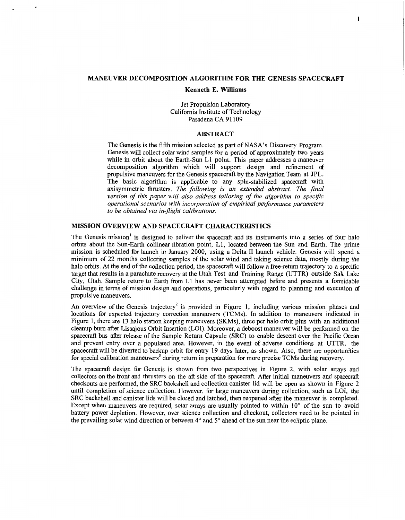## <span id="page-0-0"></span>**MANEUVER DECOMPOSITION ALGORITHM FOR THE GENESIS SPACECRAFT**

#### **Kenneth E. Williams**

Jet Propulsion Laboratory California Institute of Technology Pasadena CA 91109

### **ABSTRACT**

The Genesis is the fifth mission selected as part of NASA's Discovery Program. Genesis will collect solar wind samples for a period of approximately two years while in orbit about the Earth-Sun L1 point. This paper addresses a maneuver decomposition algorithm which will support design and refinement af propulsive maneuvers for the Genesis spacecraft by the Navigation Team at JPL. The basic algorithm is applicable to any spin-stabilized spacecraft with axisymmetric thrusters. *The following is an extended abstract. The final version of this paper will also address tailoring of the algorithm to specfic operational scenarios with incorporation of empirical performance parameters to be obtained via in-flight calibrations.* 

### **MISSION OVERVIEW AND SPACECRAFT CHARACTERISTICS**

The Genesis mission' is designed to deliver the spacecraft and its instruments into a series of four halo orbits about the Sun-Earth collinear libration point, L1, located between the Sun and Earth. The prime mission is scheduled for launch in January 2000, using a Delta I1 launch vehicle. Genesis will spend a minimum of 22 months collecting samples of the solar wind and taking science data, mostly during the halo orbits. At the end of the collection period, the spacecraft will follow a free-return trajectory to a specific target that results in a parachute recovery at the Utah Test and Training Range (UTTR) outside Salt Lake City, Utah. Sample return to Earth from L1 has never been attempted before and presents a formidable challenge in terms of mission design and operations, particularly with regard to planning and execution of propulsive maneuvers.

An overview of the Genesis trajectory<sup>2</sup> is provided in Figure 1, including various mission phases and locations for expected trajectory correction maneuvers (TCMs). In addition to maneuvers indicated in Figure 1, there are **13** halo station keeping maneuvers (SKMs), three per halo orbit plus with an additional cleanup burn after Lissajous Orbit Insertion (LOI). Moreover, a deboost maneuver will be performed on the spacecrafi bus after release of the Sample Return Capsule (SRC) to enable descent over the Pacific Ocean and prevent entry over a populated area. However, in the event of adverse conditions at UTTR, the spacecraft will be diverted to backup orbit for entry 19 days later, as shown. Also, there are opportunities for special calibration maneuvers<sup>3</sup> during return in preparation for more precise TCMs during recovery.

The spacecraft design for Genesis is shown from two perspectives in Figure 2, with solar arrays and collectors on the front and thrusters on the afl side of the spacecraft. After initial maneuvers and spacecraft checkouts are performed, the SRC backshell and collection canister lid will be open as shown in Figure 2 until completion of science collection. However, for large maneuvers during collection, such as LOI, the SRC backshell and canister lids will be closed and latched, then reopened after the maneuver is completed. Except when maneuvers are required, solar arrays are usually pointed to within  $10^{\circ}$  of the sun to avoid battery power depletion. However, over science collection and checkout, collectors need to be pointed in the prevailing solar wind direction or between **4"** and **5"** ahead of the sun near the ecliptic plane.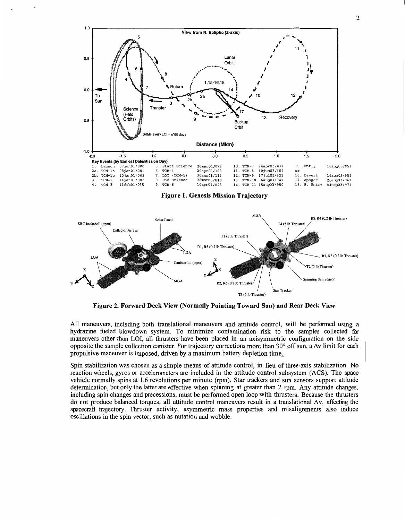



**Figure 2. Forward Deck View (Normally Pointing Toward Sun) and Rear Deck View** 

All maneuvers, including both translational maneuvers and attitude control, will be performed using a hydrazine fueled blowdown system. To minimize contamination risk to the samples collected for maneuvers other than LOI, all thrusters have been placed in an axisymmetric configuration on the side opposite the sample collection canister. For trajectory corrections more than  $30^{\circ}$  off sun, a  $\Delta v$  limit for each propulsive maneuver is imposed, driven by a maximum battery depletion time,

Spin stabilization was chosen as a simple means of attitude control, in lieu of three-axis stabilization. No reaction wheels, gyros or accelerometers are included in the attitude control subsystem (ACS). The space vehicle normally spins at **1.6** revolutions per minute (rpm). Star trackers and sun sensors support attitude determination, but only the latter are effective when spinning at greater than 2 rpm. Any attitude changes, including spin changes and precessions, must be performed open loop with thrusters. Because the thrusters do not produce balanced torques, all attitude control maneuvers result in a translational **Av,** affecting the spacecrafl trajectory. Thruster activity, asymmetric mass properties and misalignments also induce oscillations in the spin vector, such as nutation and wobble.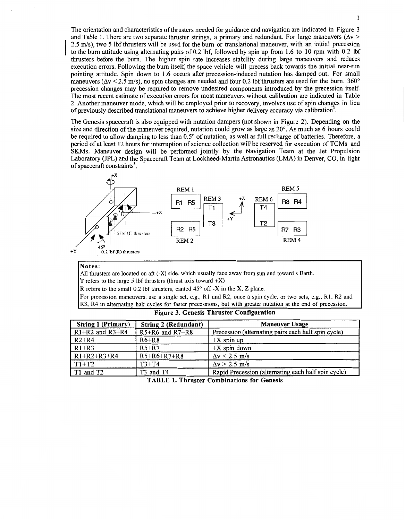<span id="page-2-0"></span>The orientation and characteristics of thrusters needed for guidance and navigation are indicated in Figure 3 and Table 1. There are two separate thruster strings, a primary and redundant. For large maneuvers ( $\Delta v$ ) 2.5 m/s), two **5** lbf thrusters will be used for the bum or translational maneuver, with an initial precession to the burn attitude using alternating pairs of 0.2 lbf, followed by spin up from 1.6 to 10 rpm with 0.2 lbf thrusters before the burn. The higher spin rate increases stability during large maneuvers and reduces execution errors. Following the bum itself, the space vehicle will precess back towards the initial near-sun pointing attitude. Spin down to 1.6 occurs after precession-induced nutation has damped out. For small maneuvers ( $\Delta v \le 2.5$  m/s), no spin changes are needed and four 0.2 lbf thrusters are used for the burn. 360<sup>o</sup> precession changes may be required to remove undesired components introduced by the precession itself. The most recent estimate of execution errors for most maneuvers without calibration are indicated in [Table](#page-3-0) [2.](#page-3-0) Another maneuver mode, which will be employed prior to recovery, involves use of spin changes in lieu of previously described translational maneuvers to achieve higher delivery accuracy via calibration<sup>3</sup>.

The Genesis spacecraft is also equipped with nutation dampers (not shown in Figure **2).** Depending on the size and direction of the maneuver required, nutation could grow as large as 20°. As much as 6 hours could be required to allow damping to less than 0.5" of nutation, as well as full recharge of batteries. Therefore, a period of at least 12 hours for interruption of science collection will be reserved for execution of TCMs and SKMs. Maneuver design will be performed jointly by the Navigation Team at the Jet Propulsion Laboratory (JPL) and the Spacecraft Team at Lockheed-Martin Astronautics (LMA) in Denver, CO, in light of spacecraft constraints<sup>3</sup>.



#### **Notes:**

I

All thrusters are located on aft (-X) side, which usually face away from sun and toward s Earth.

**T** refers to the large 5 lbf thrusters (thrust axis toward  $+X$ )

R refers to the small 0.2 lbf thrusters, canted 45" off -X in the **X, Z** plane.

For precession maneuvers, use a single set, e.g., R1 and **R2,** once a spin cycle, or two sets, e.g., R1, R2 and R3, R4 in alternating half cycles for faster precessions, but with greater nutation at the end of precession.

| <b>String 1 (Primary)</b>      | <b>String 2 (Redundant)</b> | <b>Maneuver Usage</b>                               |  |  |  |
|--------------------------------|-----------------------------|-----------------------------------------------------|--|--|--|
| $\overline{R1+R2}$ and $R3+R4$ | $R5+R6$ and $R7+R8$         | Precession (alternating pairs each half spin cycle) |  |  |  |
| $R2+R4$                        | $R6+R8$                     | $+X$ spin up                                        |  |  |  |
| $R1+R3$                        | $R5+R7$                     | $+X$ spin down                                      |  |  |  |
| $R1+R2+R3+R4$                  | $R5+R6+R7+R8$               | $\Delta v \le 2.5$ m/s                              |  |  |  |
| $TT1+T2$                       | $T3+T4$                     | $\Delta v > 2.5$ m/s                                |  |  |  |
| T1 and T2                      | T3 and T4                   | Rapid Precession (alternating each half spin cycle) |  |  |  |
| -------<br>$- - -$             |                             |                                                     |  |  |  |

**Figure 3. Genesis Thruster Configuration** 

**TABLE 1. Thruster Combinations for Genesis**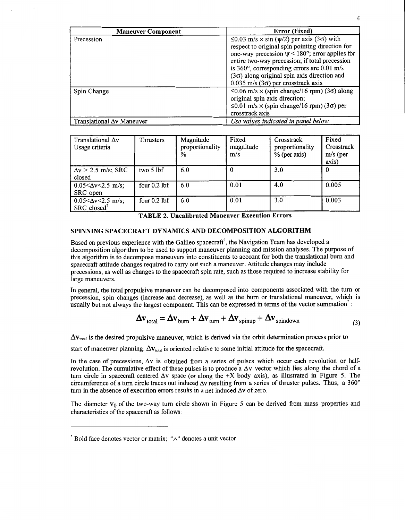<span id="page-3-0"></span>

| <b>Maneuver Component</b>         | Error (Fixed)                                                                                                                                                                                                                                                                                                                                                                          |  |  |
|-----------------------------------|----------------------------------------------------------------------------------------------------------------------------------------------------------------------------------------------------------------------------------------------------------------------------------------------------------------------------------------------------------------------------------------|--|--|
| Precession                        | $\leq$ 0.03 m/s $\times$ sin ( $\psi$ /2) per axis (3 $\sigma$ ) with<br>respect to original spin pointing direction for<br>one-way precession $\psi$ < 180°; error applies for<br>entire two-way precession; if total precession<br>is 360°, corresponding errors are 0.01 m/s<br>$(3\sigma)$ along original spin axis direction and<br>$0.035$ m/s (3 $\sigma$ ) per crosstrack axis |  |  |
| Spin Change                       | $\leq 0.06$ m/s $\times$ (spin change/16 rpm) (3 $\sigma$ ) along<br>original spin axis direction;<br>$\leq 0.01$ m/s $\times$ (spin change/16 rpm) (3 $\sigma$ ) per<br>crosstrack axis                                                                                                                                                                                               |  |  |
| Translational $\Delta v$ Maneuver | Use values indicated in panel below.                                                                                                                                                                                                                                                                                                                                                   |  |  |

| Translational $\Delta v$<br>Usage criteria             | Thrusters      | Magnitude<br>proportionality<br>$\%$ | Fixed<br>magnitude<br>m/s | Crosstrack<br>proportionality<br>$%$ (per axis) | Fixed<br>Crosstrack<br>$m/s$ (per<br>axis) |  |  |
|--------------------------------------------------------|----------------|--------------------------------------|---------------------------|-------------------------------------------------|--------------------------------------------|--|--|
| $\Delta v$ > 2.5 m/s; SRC<br>closed                    | two 5 lbf      | 6.0                                  |                           | 3.0                                             | $\Omega$                                   |  |  |
| $0.05 < \Delta v < 2.5$ m/s;<br>SRC open               | four $0.2$ lbf | 6.0                                  | 0.01                      | 4.0                                             | 0.005                                      |  |  |
| $0.05<\Delta v<2.5$ m/s;<br>$SRC$ closed <sup>†</sup>  | four $0.2$ lbf | 6.0                                  | 0.01                      | 3.0                                             | 0.003                                      |  |  |
| <b>TABLE 2. Uncalibrated Maneuver Execution Errors</b> |                |                                      |                           |                                                 |                                            |  |  |

**TABLE 2. Uncalibrated Maneuver Execution Errors** 

## **SPINNING SPACECRAFT DYNAMICS AND DECOMPOSITION ALGORITHM**

Based on previous experience with the Galileo spacecraft<sup>4</sup>, the Navigation Team has developed a decomposition algorithm to be used to support maneuver planning and mission analyses. The purpose of this algorithm is to decompose maneuvers into constituents to account for both the translational bum and spacecraft attitude changes required to carry out such a maneuver. Attitude changes may include precessions, as well as changes to the spacecraft spin rate, such as those required to increase stability for large maneuvers.

In general, the total propulsive maneuver can be decomposed into components associated with the turn or precession, spin changes (increase and decrease), as well as the bum or translational maneuver, whith is usually but not always the largest component. This can be expressed in terms of the vector summation :

$$
\Delta \mathbf{v}_{\text{total}} = \Delta \mathbf{v}_{\text{burn}} + \Delta \mathbf{v}_{\text{turn}} + \Delta \mathbf{v}_{\text{spinup}} + \Delta \mathbf{v}_{\text{spindown}}
$$
 (3)

 $\Delta$ **v**<sub>total</sub> is the desired propulsive maneuver, which is derived via the orbit determination process prior to

start of maneuver planning.  $\Delta v_{total}$  is oriented relative to some initial attitude for the spacecraft.

In the case of precessions,  $\Delta v$  is obtained from a series of pulses which occur each revolution or halfrevolution. The cumulative effect of these pulses is to produce a  $\Delta v$  vector which lies along the chord of a turn circle in spacecraft centered  $\Delta v$  space (or along the +X body axis), as illustrated in [Figure 5.](#page-5-0) The circumference of a turn circle traces out induced  $\Delta v$  resulting from a series of thruster pulses. Thus, a 360° turn in the absence of execution errors results in a net induced  $\Delta v$  of zero.

The diameter  $V_0$  of the two-way turn circle shown in [Figure 5](#page-5-0) can be derived from mass properties and characteristics of the spacecraft as follows:

<sup>\*</sup> Bold face denotes vector or matrix; **"A"** denotes a unit vector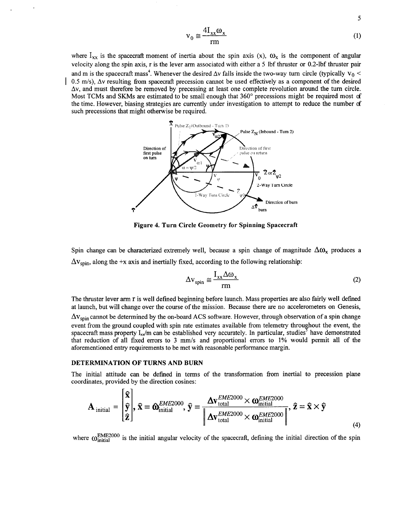$$
v_0 \approx \frac{4I_{xx}\omega_x}{rm} \tag{1}
$$

5

<span id="page-4-0"></span>where  $I_{xx}$  is the spacecraft moment of inertia about the spin axis (x),  $\omega_x$  is the component of angular velocity along the spin axis, r is the lever arm associated with either a 5 Ibf thruster or 0.2-lbf thruster pair and m is the spacecraft mass<sup>4</sup>. Whenever the desired  $\Delta v$  falls inside the two-way turn circle (typically  $v_0$  <  $0.5$  m/s),  $\Delta v$  resulting from spacecraft precession cannot be used effectively as a component of the desired  $\Delta v$ , and must therefore be removed by precessing at least one complete revolution around the turn circle. Most TCMs and SKMs are estimated to be small enough that 360" precessions might be required most *c€*  the time. However, biasing strategies are currently under investigation to attempt to reduce the number **d**  such precessions that might otherwise be required.



Figure **4.** Turn Circle Geometry for Spinning Spacecraft

Spin change can be characterized extremely well, because a spin change of magnitude  $\Delta\omega_x$  produces a  $\Delta v_{\text{spin}}$ , along the +x axis and inertially fixed, according to the following relationship:

$$
\Delta \mathbf{v}_{spin} \cong \frac{\mathbf{I}_{xx} \Delta \mathbf{\omega}_x}{rm} \tag{2}
$$

The thruster lever arm r is well defined beginning before launch. Mass properties are also fairly well defined at launch, but will change over the course of the mission. Because there are no accelerometers on Genesis,

 $\Delta v_{\text{spin}}$  cannot be determined by the on-board ACS software. However, through observation of a spin change event from the ground coupled with spin rate estimates available from telemetry throughout the event, the spacecraft mass property I<sub>xx</sub>/m can be established very accurately. In particular, studies<sup>5</sup> have demonstrated have spacecraft mass property I<sub>xx</sub>/m can be established very accurately. In particular, studies<sup>5</sup> have demo that reduction of all fixed errors to 3 mm/s and proportional errors to 1% would permit all of the aforementioned entry requirements to be met with reasonable performance margin.

#### DETERMINATION OF TURNS AND BURN

 $r - n$ 

The initial attitude can be defined in terms of the transformation fiom inertial to precession plane coordinates, provided by the direction cosines:

$$
\mathbf{A}_{initial} = \begin{bmatrix} \hat{\mathbf{x}} \\ \hat{\mathbf{y}} \\ \hat{\mathbf{z}} \end{bmatrix}, \hat{\mathbf{x}} = \hat{\mathbf{O}}_{initial}^{EME2000}, \hat{\mathbf{y}} = \frac{\Delta \mathbf{v}_{total}^{EME2000} \times \mathbf{O}_{initial}^{EME2000}}{\left| \Delta \mathbf{v}_{total}^{EME2000} \times \mathbf{O}_{initial}^{EME2000} \right|}, \hat{\mathbf{z}} = \hat{\mathbf{x}} \times \hat{\mathbf{y}}
$$
\n(4)

where  $\omega_{\text{initial}}^{\text{EME2000}}$  is the initial angular velocity of the spacecraft, defining the initial direction of the spin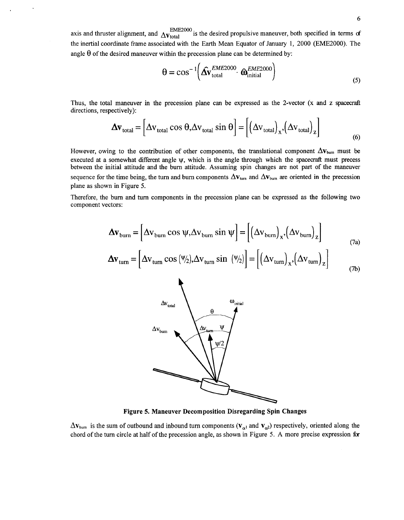<span id="page-5-0"></span>axis and thruster alignment, and  $\Delta_{\text{Vtotal}}^{\text{EME2000}}$  is the desired propulsive maneuver, both specified in terms of the inertial coordinate frame associated with the Earth Mean Equator of January 1, 2000 (EME2000). The angle  $\theta$  of the desired maneuver within the precession plane can be determined by:

$$
\Theta = \cos^{-1} \left( \hat{\Delta v}_{\text{total}}^{EME2000} \cdot \hat{\omega}_{\text{initial}}^{EME2000} \right)
$$
 (5)

Thus, the total maneuver in the precession plane can be expressed as the 2-vector (x and **z** spacecraft directions, respectively):

$$
\Delta \mathbf{v}_{\text{total}} = \left[ \Delta \mathbf{v}_{\text{total}} \cos \theta, \Delta \mathbf{v}_{\text{total}} \sin \theta \right] = \left[ \left( \Delta \mathbf{v}_{\text{total}} \right)_{\mathbf{x}}, \left( \Delta \mathbf{v}_{\text{total}} \right)_{\mathbf{z}} \right]
$$
(6)

However, owing to the contribution of other components, the translational component  $\Delta v_{\text{burn}}$  must be executed at a somewhat different angle **ty,** which is the angle through which the spacecraft must precess between the initial attitude and the bum attitude. Assuming spin changes are not part of the maneuver sequence for the time being, the turn and burn components  $\Delta v_{\text{turn}}$  and  $\Delta v_{\text{burn}}$  are oriented in the precession plane as shown in Figure **5.** 

Therefore, the bum and turn components in the precession plane can be expressed as the following two component vectors:

$$
\Delta \mathbf{v}_{\text{burn}} = \left[ \Delta \mathbf{v}_{\text{burn}} \cos \psi, \Delta \mathbf{v}_{\text{burn}} \sin \psi \right] = \left[ \left( \Delta \mathbf{v}_{\text{burn}} \right)_{\mathbf{x}}, \left( \Delta \mathbf{v}_{\text{burn}} \right)_{\mathbf{z}} \right]
$$
(7a)

$$
\Delta \mathbf{v}_{\text{turn}} = \left[ \Delta \mathbf{v}_{\text{turn}} \cos \left( \frac{\psi}{2} \right), \Delta \mathbf{v}_{\text{turn}} \sin \left( \frac{\psi}{2} \right) \right] = \left[ \left( \Delta \mathbf{v}_{\text{turn}} \right)_{\mathbf{x}}, \left( \Delta \mathbf{v}_{\text{turn}} \right)_{\mathbf{z}} \right] \tag{7b}
$$



**Figure 5. Maneuver Decomposition Disregarding Spin Changes** 

 $\Delta$ **v**<sub>burn</sub> is the sum of outbound and inbound turn components ( $V_{\alpha}$ ) and  $V_{\alpha}$ ) respectively, oriented along the chord of the turn circle at half of the precession angle, as shown in Figure 5. A more precise expression for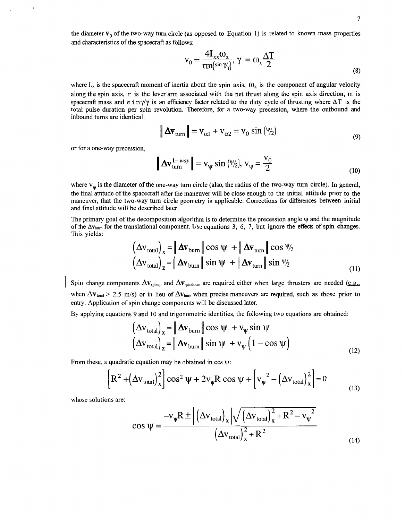<span id="page-6-0"></span>the diameter  $\mathbf{v}_0$  of the two-way turn circle (as opposed to Equation 1) is related to known mass properties and characteristics of the spacecraft as follows:

$$
v_0 = \frac{4I_{xx}\omega_x}{rm(\sin \gamma_y)}, \gamma = \omega_x \frac{\Delta T}{2}
$$
\n(8)

where I<sub>xx</sub> is the spacecraft moment of inertia about the spin axis,  $\omega_x$  is the component of angular velocity along the spin axis,  $r$  is the lever arm associated with the net thrust along the spin axis direction, m is spacecraft mass and  $\sin \gamma / \gamma$  is an efficiency factor related to the duty cycle of thrusting where  $\Delta T$  is the total pulse duration per spin revolution. Therefore, for a two-way precession, where the outbound and inbound turns are identical:

$$
\|\Delta \mathbf{v}_{\text{turn}}\| = \mathbf{v}_{\alpha 1} + \mathbf{v}_{\alpha 2} = \mathbf{v}_0 \sin \left(\frac{\psi}{2}\right)
$$
\n(9)

or for a one-way precession,

$$
\|\Delta \mathbf{v}_{\text{turn}}^{1-way}\| = \mathbf{v}_{\psi} \sin(\Psi_2), \mathbf{v}_{\psi} = \frac{\mathbf{v}_0}{2}
$$
 (10)

where  $V_w$  is the diameter of the one-way turn circle (also, the radius of the two-way turn circle). In general, the final attitude of the spacecraft after the maneuver will be close enough to the initial attitude prior to the maneuver, that the two-way turn circle geometry is applicable. Corrections for differences between initial and final attitude will be described later.

The primary goal of the decomposition algorithm is to determine the precession angle  $\psi$  and the magnitude of the  $\Delta v_{\text{burn}}$  for the translational component. Use equations 3, 6, 7, but ignore the effects of spin changes. This yields:

$$
\left(\Delta \mathbf{v}_{\text{total}}\right)_x = \|\Delta \mathbf{v}_{\text{burn}}\| \cos \psi + \|\Delta \mathbf{v}_{\text{turn}}\| \cos \psi_2
$$
  

$$
\left(\Delta \mathbf{v}_{\text{total}}\right)_z = \|\Delta \mathbf{v}_{\text{burn}}\| \sin \psi + \|\Delta \mathbf{v}_{\text{turn}}\| \sin \psi_2
$$
 (11)

Spin change components  $\Delta v_{\text{spinup}}$  and  $\Delta v_{\text{spindown}}$  are required either when large thrusters are needed (e.g., when  $\Delta$ **V**<sub>total</sub> > 2.5 m/s) or in lieu of  $\Delta$ **V**<sub>burn</sub> when precise maneuvers are required, such as those prior to entry. Application of spin change components will be discussed later.

By applying equations 9 and 10 and trigonometric identities, the following two equations are obtained:

$$
\left(\Delta v_{\text{total}}\right)_x = \|\Delta v_{\text{burn}}\| \cos \psi + v_{\psi} \sin \psi
$$
  

$$
\left(\Delta v_{\text{total}}\right)_z = \|\Delta v_{\text{burn}}\| \sin \psi + v_{\psi} \left(1 - \cos \psi\right)
$$
 (12)

From these, a quadratic equation may be obtained in cos  $\psi$ :

$$
\left[\mathbf{R}^2 + \left(\Delta \mathbf{v}_{\text{total}}\right)_x^2\right] \cos^2 \psi + 2\mathbf{v}_{\psi} \mathbf{R} \cos \psi + \left[\mathbf{v}_{\psi}^2 - \left(\Delta \mathbf{v}_{\text{total}}\right)_x^2\right] = 0\tag{13}
$$

whose solutions are:

$$
\cos \psi = \frac{-v_{\psi}R \pm \left| \left( \Delta v_{\text{total}} \right)_{x} \right| \sqrt{\left( \Delta v_{\text{total}} \right)_{x}^{2} + R^{2} - v_{\psi}^{2}}}{\left( \Delta v_{\text{total}} \right)_{x}^{2} + R^{2}}
$$
\n(14)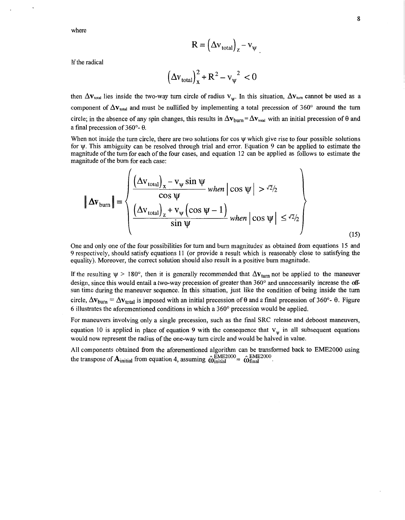where

$$
R = \left(\Delta v_{\text{total}}\right)_z - v_{\psi}
$$

If the radical

$$
\left(\Delta v_{\text{total}}\right)_x^2 + R^2 - v_{\psi}^2 < 0
$$

then  $\Delta v_{\text{total}}$  lies inside the two-way turn circle of radius  $v_w$ . In this situation,  $\Delta v_{\text{tum}}$  cannot be used as a component of  $\Delta v_{\text{total}}$  and must be nullified by implementing a total precession of  $360^{\circ}$  around the turn circle; in the absence of any spin changes, this results in  $\Delta v_{\text{burn}} = \Delta v_{\text{total}}$  with an initial precession of  $\theta$  and a final precession of **360"-** *8.* 

When not inside the turn circle, there are two solutions for  $\cos \psi$  which give rise to four possible solutions for v. This ambiguity can be resolved through trial and error. Equation 9 can be applied to estimate the magnitude of the turn for each of the four cases, and equation 12 can be applied as follows to estimate the magnitude of the bum for each case:

$$
\|\Delta \mathbf{v}_{\text{burn}}\| = \left\{\frac{\left(\Delta v_{\text{total}}\right)_{\mathbf{x}} - v_{\psi} \sin \psi}{\left(\Delta v_{\text{total}}\right)_{\mathbf{z}} + v_{\psi} \left(\cos \psi - 1\right)} \text{ when } \cos \psi \mid > \frac{\sqrt{2}}{2}
$$
\n
$$
\sin \psi \text{ when } \cos \psi \mid \frac{\sqrt{2}}{2}
$$
\n(15)

One and only one of the four possibilities for turn and burn magnitudes' as obtained from equations 15 and 9 respectively, should satisfy equations 11 (or provide a result which is reasonably close to satisfying the equality). Moreover, the correct solution should also result in a positive bum magnitude.

If the resulting  $\psi > 180^\circ$ , then it is generally recommended that  $\Delta v_{\text{turn}}$  not be applied to the maneuver design, since this would entail a two-way precession of greater than **360"** and unnecessarily increase the *off*sun time during the maneuver sequence. In this situation, just like the condition of being inside the turn circle,  $\Delta v_{\text{burn}} = \Delta v_{\text{total}}$  is imposed with an initial precession of  $\theta$  and a final precession of 360°-  $\theta$ . [Figure](#page-8-0) **[6](#page-8-0)** illustrates the aforementioned conditions in which a **360"** precession would be applied.

For maneuvers involving only a single precession, such as the frnal SRC release and deboost maneuvers, equation 10 is applied in place of equation 9 with the consequence that  $V_w$  in all subsequent equations would now represent the radius of the one-way turn circle and would be halved in value.

**All** components obtained fiom the aforementioned algorithm can be transformed back to EME2000 using the transpose of  $\mathbf{A}_{initial}$  from equation 4, assuming  $\hat{\omega}_{initial}^{EME2000} \approx \hat{\omega}_{final}^{EME2000}$ .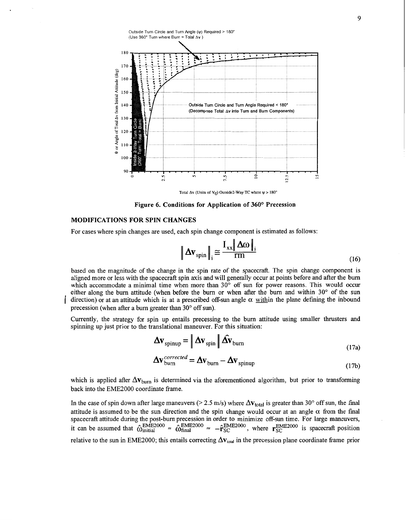<span id="page-8-0"></span>

Total  $\Delta v$  (Units of  $V_0$ ) Outside2-Way TC where  $\psi > 180^\circ$ 

**Figure 6. Conditions for Application of** *360°* **Precession** 

### **MODIFICATIONS FOR SPIN CHANGES**

For cases where spin changes are used, each spin change component is estimated as follows:

$$
\left\| \Delta \mathbf{v}_{\text{spin}} \right\|_{i} \cong \frac{\mathbf{I}_{xx} \left\| \Delta \omega \right\|_{i}}{\text{rm}}
$$
 (16)

based on the magnitude of the change in the spin rate of the spacecraft. The spin change component is aligned more or less with the spacecraft spin axis and will generally occur at points before and after the burn which accommodate a minimal time when more than  $30^{\circ}$  off sun for power reasons. This would occur either along the burn attitude (when before the burn or when after the burn and within  $30^{\circ}$  of the sun direction) or at an attitude which is at a prescribed off-sun angle  $\alpha$  within the plane defining the inbound precession (when after a burn greater than  $30^{\circ}$  off sun).

Currently, the strategy for spin up entails precessing to the burn attitude using smaller thrusters and spinning up just prior to the translational maneuver. For this situation:

$$
\Delta \mathbf{v}_{\text{spinup}} = \left| \Delta \mathbf{v}_{\text{spin}} \right| \hat{\Delta \mathbf{v}}_{\text{burn}} \tag{17a}
$$

$$
\Delta \mathbf{v}_{\text{burn}}^{corrected} = \Delta \mathbf{v}_{\text{burn}} - \Delta \mathbf{v}_{\text{spinup}}
$$
(17a)

which is applied after  $\Delta v_{\text{burn}}$  is determined via the aforementioned algorithm, but prior to transforming back into the EME2000 coordinate frame.

In the case of spin down after large maneuvers ( $> 2.5$  m/s) where  $\Delta v_{total}$  is greater than 30° off sun, the final attitude is assumed to be the sun direction and the spin change would occur at an angle  $\alpha$  from the final spacecraft attitude during the post-burn precession in order to minimize off-sun time. For large maneuvers, spacecraft attitude during the post-burn precession in order to minimize off-sun time. For large maneuvers,<br>it can be assumed that  $\hat{\omega}_{initial}^{EME2000} \approx \hat{\omega}_{final}^{EME2000} \approx -\hat{r}_{SC}^{EME2000}$ , where  $\mathbf{r}_{SC}^{EME2000}$  is spacecra relative to the sun in EME2000; this entails correcting  $\Delta v_{\text{total}}$  in the precession plane coordinate frame prior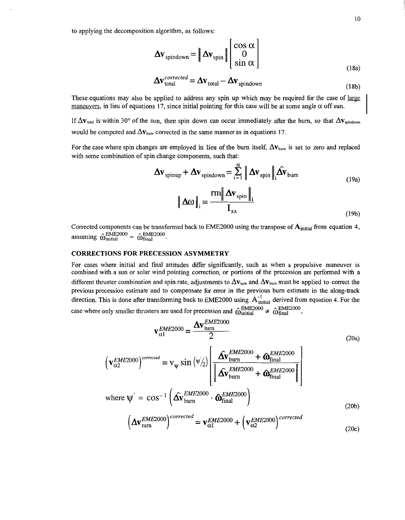<span id="page-9-0"></span>to applying the decomposition algorithm, as follows:

$$
\Delta \mathbf{v}_{\text{spindown}} = \left\| \Delta \mathbf{v}_{\text{spin}} \right\| \begin{bmatrix} \cos \alpha \\ 0 \\ \sin \alpha \end{bmatrix}
$$
\n
$$
\Delta \mathbf{v}_{\text{total}}^{corrected} = \Delta \mathbf{v}_{\text{total}} - \Delta \mathbf{v}_{\text{spindown}}
$$
\n(18a)

$$
\Delta \mathbf{v}_{\text{total}}^{corrected} = \Delta \mathbf{v}_{\text{total}} - \Delta \mathbf{v}_{\text{spindown}}
$$
 (18b)

These equations may also be applied to address any spin up which may be required for the case of large maneuvers, in lieu of equations 17, since initial pointing for this case will be at some angle  $\alpha$  off sun.

If  $\Delta V_{total}$  is within 30° of the sun, then spin down can occur immediately after the burn, so that  $\Delta V_{soidown}$ would be computed and  $\Delta v_{\text{burn}}$  corrected in the same manner as in equations 17.

For the case where spin changes are employed in lieu of the burn itself,  $\Delta v_{\text{burn}}$  is set to zero and replaced with some combination of spin change components, such that:

$$
\Delta \mathbf{v}_{\text{spinup}} + \Delta \mathbf{v}_{\text{spindown}} = \sum_{i=1}^{N} \left\| \Delta \mathbf{v}_{\text{spin}} \right\|_{i} \hat{\Delta v}_{\text{burn}}
$$
\n
$$
\left\| \Delta \omega \right\|_{i} = \frac{\text{rm} \left\| \Delta \mathbf{v}_{\text{spin}} \right\|_{i}}{I_{xx}}
$$
\n(19a)

Corrected components can be transformed back to EME2000 using the transpose of  $A<sub>initial</sub>$  from equation 4,  $\hat{\omega}_{\text{initial}}^{\text{EME2000}} \approx \hat{\omega}_{\text{final}}^{\text{EME2000}}.$ 

### **CORRECTIONS FOR PRECESSION ASYMMETRY**

For cases where initial and final attitudes differ significantly, such as when a propulsive maneuver is combined with a sun or solar wind pointing correction, or portions **of** the precession are performed with a different thruster combination and spin rate, adjustments to  $\Delta v_{\text{turn}}$  and  $\Delta v_{\text{burn}}$  must be applied to correct the previous precession estimate and to compensate for error in the previous bum estimate in the along-track direction. This is done after transforming back to EME2000 using  $A^{-1}_{initial}$  derived from equation 4. For the case where only smaller thrusters are used for precession and  $\hat{\omega}_{initial}^{EME2000} \neq \hat{\omega}_{final}^{EME2000}$ ,

$$
\mathbf{v}_{\alpha1}^{EME2000} = \frac{\Delta \mathbf{v}_{\text{turn}}^{EME2000}}{2}
$$
 (20a)

$$
\left(\mathbf{v}_{\alpha2}^{EME2000}\right)^{corrected} = \mathbf{v}_{\psi} \sin \left(\psi_{2}\right) \left[\frac{\hat{\mathbf{\Lambda}} \mathbf{v}_{burn}^{EME2000} + \hat{\mathbf{\Omega}}_{final}^{EME2000}}{\left\|\hat{\mathbf{\Lambda}} \mathbf{v}_{burn}^{EME2000} + \hat{\mathbf{\Omega}}_{final}^{EME2000}\right\|}\right]
$$
\nwhere  $\psi' = \cos^{-1} \left(\hat{\mathbf{\Lambda}} \mathbf{v}_{burn}^{EME2000} \cdot \hat{\mathbf{\Omega}}_{final}^{EME2000}\right)$  (20b)

$$
\left(\Delta \mathbf{v}_{\text{turn}}^{EME2000}\right)^{corrected} = \mathbf{v}_{\alpha 1}^{EME2000} + \left(\mathbf{v}_{\alpha 2}^{EME2000}\right)^{corrected}
$$
\n(20c)

 $(19b)$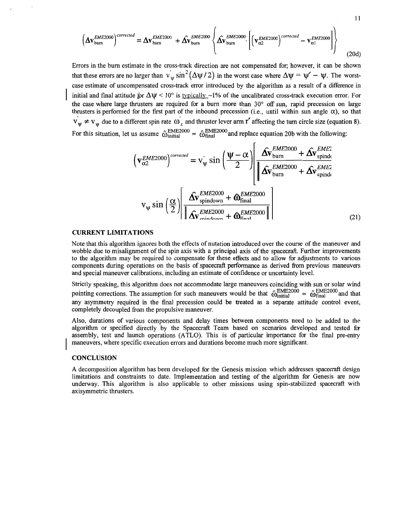<span id="page-10-0"></span>
$$
\left(\Delta \mathbf{v}_{\text{burn}}^{EME2000}\right)^{corrected} = \Delta \mathbf{v}_{\text{burn}}^{EME2000} + \hat{\Delta v}_{\text{burn}}^{EME2000} \left\{\hat{\Delta v}_{\text{burn}}^{EME2000}\left[\left(\mathbf{v}_{\alpha2}^{EME2000}\right)^{corrected} - \mathbf{v}_{\alpha1}^{EME2000}\right]\right\}
$$
(20d)

 $11$ 

Errors in the burn estimate in the cross-track direction are not compensated for; however, it can be shown that these errors are no larger than  $v_w \sin^2(\Delta \psi / 2)$  in the worst case where  $\Delta \psi = \psi' - \psi$ . The worst-<br>case estimate of uncompensated cross-track error introduced by the algorithm as a result of a difference in initial and final attitude for  $\Delta \Psi \le 10^{\circ}$  is typically  $-1\%$  of the uncalibrated cross-track execution error. For the case where large thrusters are required for a burn more than 30° off sun, rapid precession on large thrusters is performed for the first part of the inbound precession (i.e., until within sun angle  $\alpha$ ), so that  $v_y \neq v_y$  due to a different spin rate  $\omega_x$  and thruster lever arm r' affecting the turn circle size (equation 8). For this situation, let us assume  $\hat{\omega}_{initial}^{EME2000} \approx \hat{\omega}_{final}^{EME2000}$  and replace equation 20b with the following:

$$
\left(\mathbf{v}_{\alpha2}^{EME2000}\right)^{corrected} = \mathbf{v}_{\psi}^{'} \sin\left(\frac{\psi - \alpha}{2}\right) \left[\frac{\hat{\mathbf{\Lambda v}}_{burn}^{EME2000} + \hat{\mathbf{\Lambda v}}_{spind}^{EME2000}}{\hat{\mathbf{\Lambda v}}_{burn}^{EME2000} + \hat{\mathbf{\Lambda v}}_{spind}^{EME2000}}\right]
$$
\n
$$
\mathbf{v}_{\psi} \sin\left(\frac{\alpha}{2}\right) \left[\frac{\hat{\mathbf{\Lambda v}}_{smidown}^{EME2000} + \hat{\mathbf{\Omega}}_{final}^{EME2000}}{\hat{\mathbf{\Lambda v}}_{smidown}^{EME2000} + \hat{\mathbf{\Omega}}_{final}^{EME2000}}\right]
$$
\n(21)

#### **CURRENT LIMITATIONS**

Note that this algorithm ignores both the effects of nutation introduced over the course of the maneuver and wobble due to misalignment of the spin axis with a principal axis of the spacecraft. Further improvements to the algorithm may be required to compensate for these effects and to allow for adjustments to various components during operations on the basis of spacecraft performance as derived from previous maneuvers and special maneuver calibrations, including an estimate of confidence or uncertainty level.

Strictly speaking, this algorithm does not accommodate large maneuvers coinciding with sun or solar wind Strictly speaking, this algorithm does not accommodate large maneuvers coinciding with sun or solar wind pointing corrections. The assumption for such maneuvers would be that  $\hat{\omega}_{initial}^{\text{EME2000}} \approx \hat{\omega}_{final}^{\text{EME2000}}$  and t any asymmetry required in the final precession could be treated as a separate attitude control event, completely decoupled from the propulsive maneuver.

Also, durations of various components and delay times between components need to be added to the algorithm or specified directly by the Spacecraft Team based on scenarios developed and tested fa assembly, test and launch operations (ATLO). This is of particular importance for the final pre-entry maneuvers, where specific execution errors and durations become much more significant.

### **CONCLUSION**

**A** decomposition algorithm has been developed for the Genesis mission which addresses spacecraft design limitations and constraints to date. Implementation and testing of the algorithm for Genesis are now underway. This algorithm is also applicable to other missions using spin-stabilized spacecraft with axisymmetric thrusters.